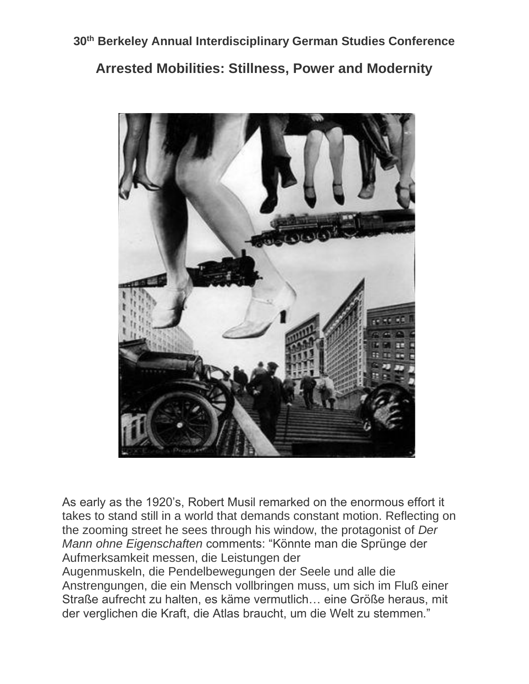## **30th Berkeley Annual Interdisciplinary German Studies Conference Arrested Mobilities: Stillness, Power and Modernity**



As early as the 1920's, Robert Musil remarked on the enormous effort it takes to stand still in a world that demands constant motion. Reflecting on the zooming street he sees through his window, the protagonist of *Der Mann ohne Eigenschaften* comments: "Könnte man die Sprünge der Aufmerksamkeit messen, die Leistungen der

Augenmuskeln, die Pendelbewegungen der Seele und alle die Anstrengungen, die ein Mensch vollbringen muss, um sich im Fluß einer Straße aufrecht zu halten, es käme vermutlich… eine Größe heraus, mit der verglichen die Kraft, die Atlas braucht, um die Welt zu stemmen."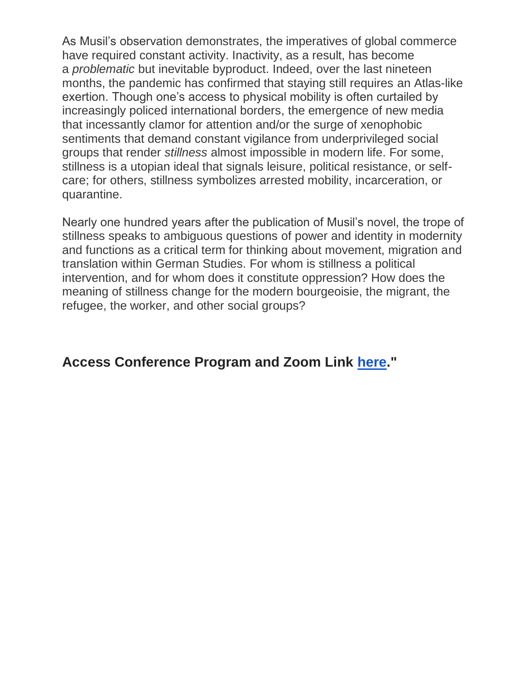As Musil's observation demonstrates, the imperatives of global commerce have required constant activity. Inactivity, as a result, has become a *problematic* but inevitable byproduct. Indeed, over the last nineteen months, the pandemic has confirmed that staying still requires an Atlas-like exertion. Though one's access to physical mobility is often curtailed by increasingly policed international borders, the emergence of new media that incessantly clamor for attention and/or the surge of xenophobic sentiments that demand constant vigilance from underprivileged social groups that render *stillness* almost impossible in modern life. For some, stillness is a utopian ideal that signals leisure, political resistance, or selfcare; for others, stillness symbolizes arrested mobility, incarceration, or quarantine.

Nearly one hundred years after the publication of Musil's novel, the trope of stillness speaks to ambiguous questions of power and identity in modernity and functions as a critical term for thinking about movement, migration and translation within German Studies. For whom is stillness a political intervention, and for whom does it constitute oppression? How does the meaning of stillness change for the modern bourgeoisie, the migrant, the refugee, the worker, and other social groups?

**Access Conference Program and Zoom Link [here.](https://drive.google.com/file/d/1HBnH18Latte5ldV-kiaczvOxUdzNfide/view?usp=sharing)"**